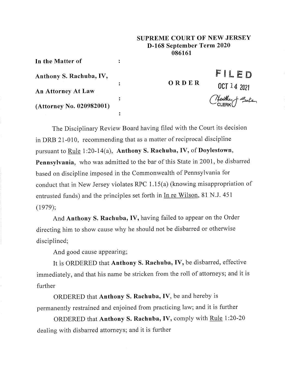## **SUPREME COURT OF NEW JERSEY D-168 September Term 2020 086161**

**In the Matter of**

**Anthony S. Rachuba, IV,**

**An Attorney At Law**

**(Attorney No. 020982001)**

**ORDER**

OCT 14 2021<br>Cleather + Sale

**FILt D**

The Disciplinary Review Board having filed with the Court its decision in DRB 21-010, recommending that as a matter of reciprocal discipline pursuant to Rule 1:20-14(a), Anthony S. Raehuba, IV, of **Doylestown, Pennsylvania,** who was admitted to the bar of this State in 2001, be disbarred based on discipline imposed in the Commonwealth of Pennsylvania for conduct that in New Jersey violates RPC 1.15(a) (knowing misappropriation of entrusted funds) and the principles set forth in In re Wilson, 81 N.J. 451 (1979);

 $\ddot{\bullet}$ 

 $\ddot{\bullet}$ 

 $\ddot{\cdot}$ 

 $\ddot{\cdot}$ 

And Anthony S. Rachuba, IV, having failed to appear on the Order directing him to show cause why he should not be disbarred or otherwise disciplined;

And good cause appearing;

It is ORDERED that Anthony S. Rachuba, IV, be disbarred, effective immediately, and that his name be stricken from the roll of attorneys; and it is further

ORDERED that Anthony S. Rachuba, IV, be and hereby is permanently restrained and enjoined from practicing law; and it is further

ORDERED that Anthony S. Rachuba, IV, comply with Rule 1:20-20 dealing with disbarred attorneys; and it is further